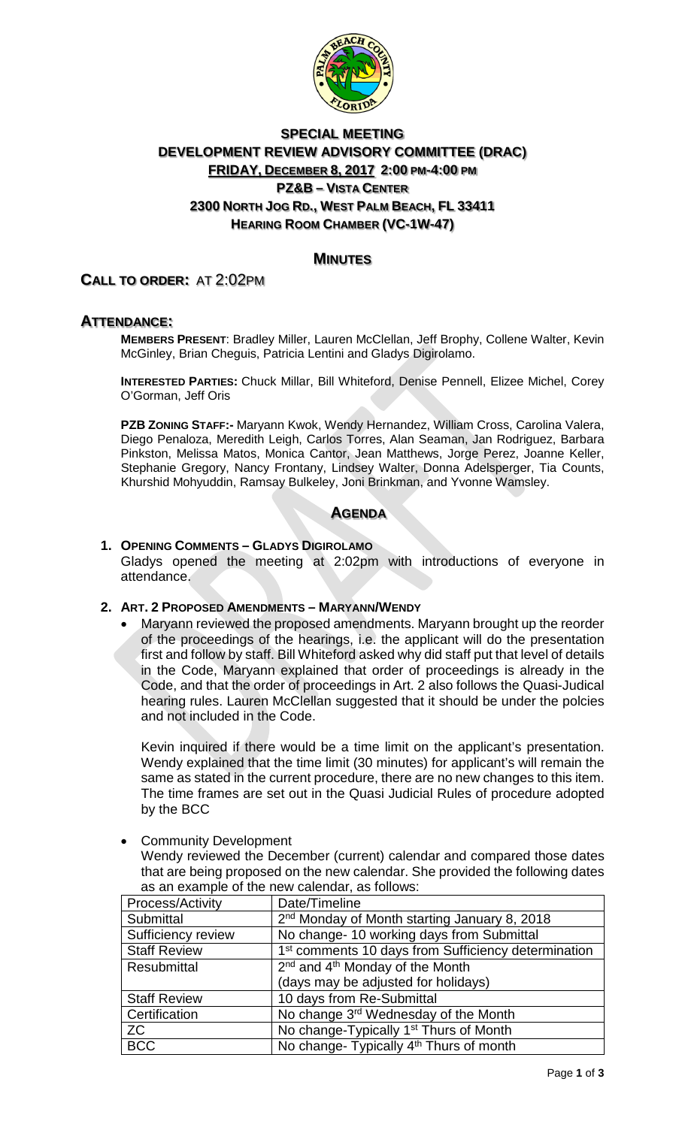

# **SPECIAL MEETING DEVELOPMENT REVIEW ADVISORY COMMITTEE (DRAC) FRIDAY, DECEMBER 8, 2017 2:00 PM-4:00 PM PZ&B – VISTA CENTER 2300 NORTH JOG RD., WEST PALM BEACH, FL 33411 HEARING ROOM CHAMBER (VC-1W-47)**

## **MINUTES**

## **CALL TO ORDER:** AT 2:02PM

### **ATTENDANCE:**

**MEMBERS PRESENT**: Bradley Miller, Lauren McClellan, Jeff Brophy, Collene Walter, Kevin McGinley, Brian Cheguis, Patricia Lentini and Gladys Digirolamo.

**INTERESTED PARTIES:** Chuck Millar, Bill Whiteford, Denise Pennell, Elizee Michel, Corey O'Gorman, Jeff Oris

**PZB ZONING STAFF:-** Maryann Kwok, Wendy Hernandez, William Cross, Carolina Valera, Diego Penaloza, Meredith Leigh, Carlos Torres, Alan Seaman, Jan Rodriguez, Barbara Pinkston, Melissa Matos, Monica Cantor, Jean Matthews, Jorge Perez, Joanne Keller, Stephanie Gregory, Nancy Frontany, Lindsey Walter, Donna Adelsperger, Tia Counts, Khurshid Mohyuddin, Ramsay Bulkeley, Joni Brinkman, and Yvonne Wamsley.

## **AGENDA**

### **1. OPENING COMMENTS – GLADYS DIGIROLAMO**

Gladys opened the meeting at 2:02pm with introductions of everyone in attendance.

### **2. ART. 2 PROPOSED AMENDMENTS – MARYANN/WENDY**

• Maryann reviewed the proposed amendments. Maryann brought up the reorder of the proceedings of the hearings, i.e. the applicant will do the presentation first and follow by staff. Bill Whiteford asked why did staff put that level of details in the Code, Maryann explained that order of proceedings is already in the Code, and that the order of proceedings in Art. 2 also follows the Quasi-Judical hearing rules. Lauren McClellan suggested that it should be under the polcies and not included in the Code.

Kevin inquired if there would be a time limit on the applicant's presentation. Wendy explained that the time limit (30 minutes) for applicant's will remain the same as stated in the current procedure, there are no new changes to this item. The time frames are set out in the Quasi Judicial Rules of procedure adopted by the BCC

**Community Development** 

Wendy reviewed the December (current) calendar and compared those dates that are being proposed on the new calendar. She provided the following dates as an example of the new calendar, as follows:

| <b>Process/Activity</b> | Date/Timeline                                                   |
|-------------------------|-----------------------------------------------------------------|
| Submittal               | 2 <sup>nd</sup> Monday of Month starting January 8, 2018        |
| Sufficiency review      | No change-10 working days from Submittal                        |
| <b>Staff Review</b>     | 1 <sup>st</sup> comments 10 days from Sufficiency determination |
| Resubmittal             | $2nd$ and 4 <sup>th</sup> Monday of the Month                   |
|                         | (days may be adjusted for holidays)                             |
| <b>Staff Review</b>     | 10 days from Re-Submittal                                       |
| Certification           | No change 3 <sup>rd</sup> Wednesday of the Month                |
| <b>ZC</b>               | No change-Typically 1 <sup>st</sup> Thurs of Month              |
| <b>BCC</b>              | No change- Typically 4 <sup>th</sup> Thurs of month             |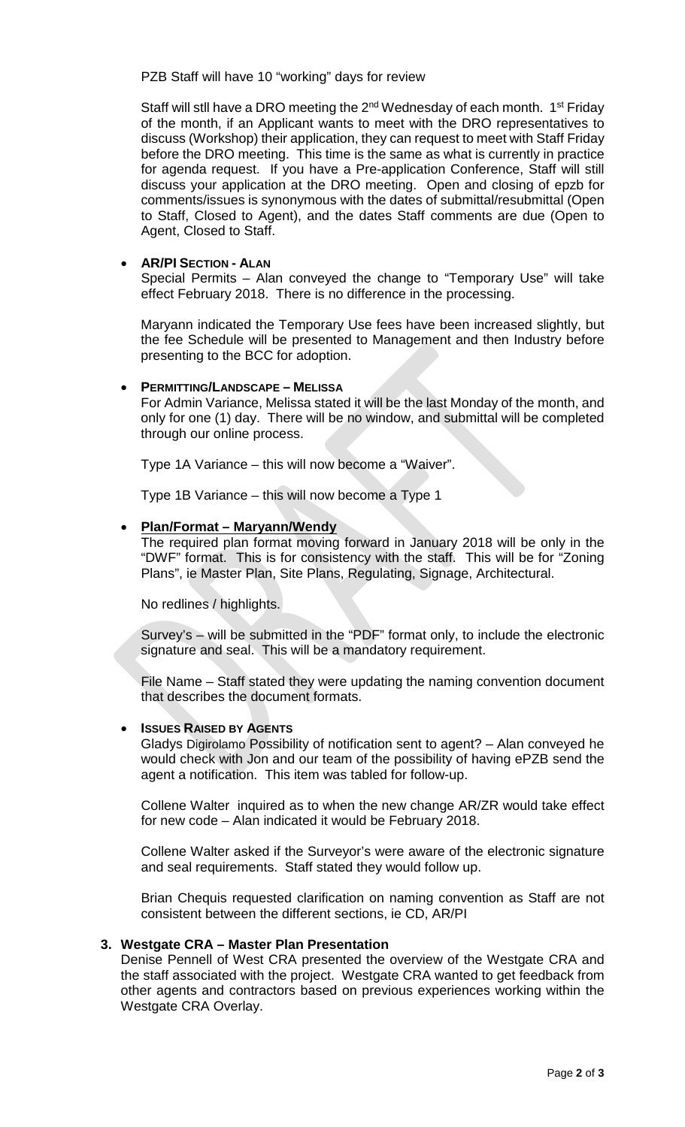PZB Staff will have 10 "working" days for review

Staff will stll have a DRO meeting the  $2<sup>nd</sup>$  Wednesday of each month. 1<sup>st</sup> Friday of the month, if an Applicant wants to meet with the DRO representatives to discuss (Workshop) their application, they can request to meet with Staff Friday before the DRO meeting. This time is the same as what is currently in practice for agenda request. If you have a Pre-application Conference, Staff will still discuss your application at the DRO meeting. Open and closing of epzb for comments/issues is synonymous with the dates of submittal/resubmittal (Open to Staff, Closed to Agent), and the dates Staff comments are due (Open to Agent, Closed to Staff.

### • **AR/PI SECTION - ALAN**

Special Permits – Alan conveyed the change to "Temporary Use" will take effect February 2018. There is no difference in the processing.

Maryann indicated the Temporary Use fees have been increased slightly, but the fee Schedule will be presented to Management and then Industry before presenting to the BCC for adoption.

### • **PERMITTING/LANDSCAPE – MELISSA**

For Admin Variance, Melissa stated it will be the last Monday of the month, and only for one (1) day. There will be no window, and submittal will be completed through our online process.

Type 1A Variance – this will now become a "Waiver".

Type 1B Variance – this will now become a Type 1

### • **Plan/Format – Maryann/Wendy**

The required plan format moving forward in January 2018 will be only in the "DWF" format. This is for consistency with the staff. This will be for "Zoning Plans", ie Master Plan, Site Plans, Regulating, Signage, Architectural.

No redlines / highlights.

Survey's – will be submitted in the "PDF" format only, to include the electronic signature and seal. This will be a mandatory requirement.

File Name – Staff stated they were updating the naming convention document that describes the document formats.

### **ISSUES RAISED BY AGENTS**

Gladys Digirolamo Possibility of notification sent to agent? – Alan conveyed he would check with Jon and our team of the possibility of having ePZB send the agent a notification. This item was tabled for follow-up.

Collene Walter inquired as to when the new change AR/ZR would take effect for new code – Alan indicated it would be February 2018.

Collene Walter asked if the Surveyor's were aware of the electronic signature and seal requirements. Staff stated they would follow up.

Brian Chequis requested clarification on naming convention as Staff are not consistent between the different sections, ie CD, AR/PI

### **3. Westgate CRA – Master Plan Presentation**

Denise Pennell of West CRA presented the overview of the Westgate CRA and the staff associated with the project. Westgate CRA wanted to get feedback from other agents and contractors based on previous experiences working within the Westgate CRA Overlay.